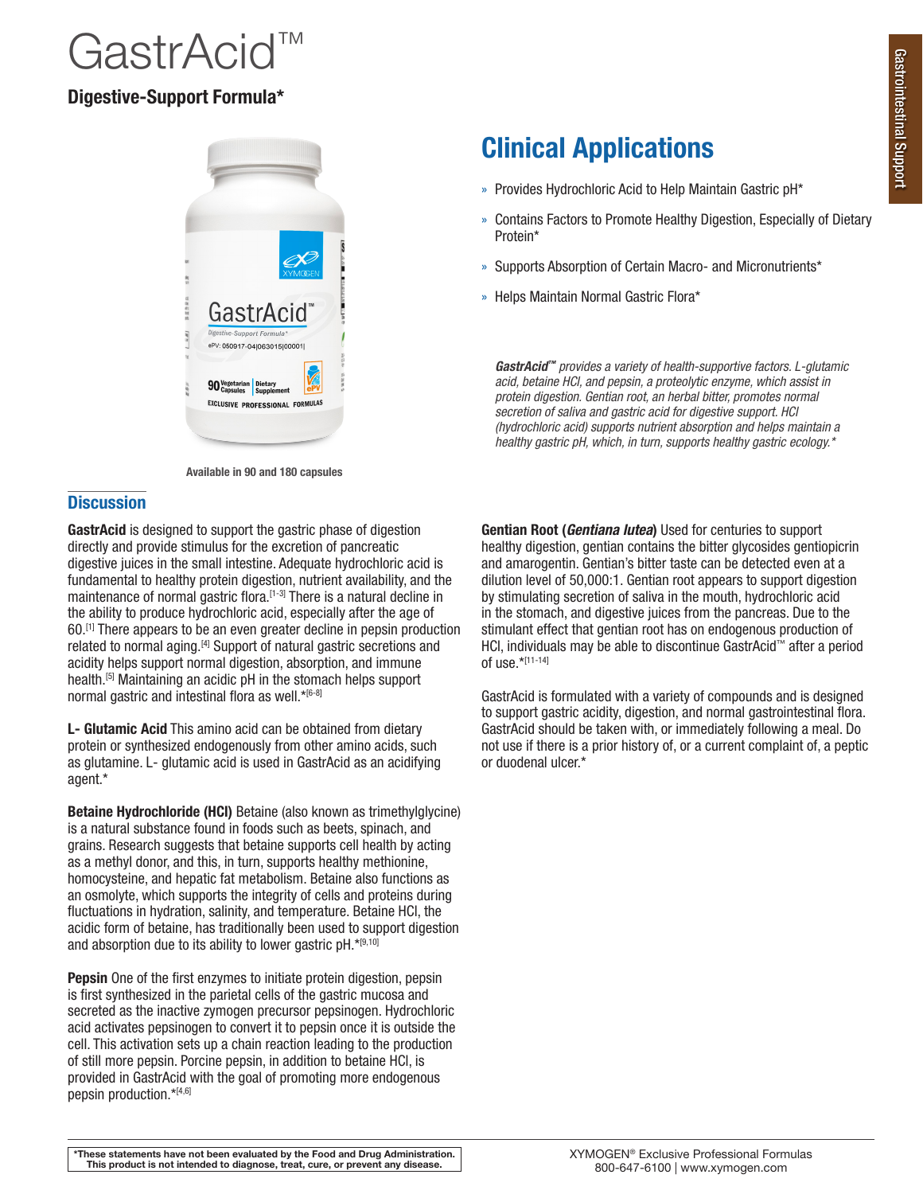# **JastrAcid**

# Digestive-Support Formula\*



Available in 90 and 180 capsules

## **Discussion**

GastrAcid is designed to support the gastric phase of digestion directly and provide stimulus for the excretion of pancreatic digestive juices in the small intestine. Adequate hydrochloric acid is fundamental to healthy protein digestion, nutrient availability, and the maintenance of normal gastric flora.<sup>[1-3]</sup> There is a natural decline in the ability to produce hydrochloric acid, especially after the age of 60.[1] There appears to be an even greater decline in pepsin production related to normal aging.[4] Support of natural gastric secretions and acidity helps support normal digestion, absorption, and immune health.[5] Maintaining an acidic pH in the stomach helps support normal gastric and intestinal flora as well.\*[6-8]

L- Glutamic Acid This amino acid can be obtained from dietary protein or synthesized endogenously from other amino acids, such as glutamine. L- glutamic acid is used in GastrAcid as an acidifying agent.\*

Betaine Hydrochloride (HCI) Betaine (also known as trimethylglycine) is a natural substance found in foods such as beets, spinach, and grains. Research suggests that betaine supports cell health by acting as a methyl donor, and this, in turn, supports healthy methionine, homocysteine, and hepatic fat metabolism. Betaine also functions as an osmolyte, which supports the integrity of cells and proteins during fluctuations in hydration, salinity, and temperature. Betaine HCl, the acidic form of betaine, has traditionally been used to support digestion and absorption due to its ability to lower gastric  $pH.*[9,10]$ 

Pepsin One of the first enzymes to initiate protein digestion, pepsin is first synthesized in the parietal cells of the gastric mucosa and secreted as the inactive zymogen precursor pepsinogen. Hydrochloric acid activates pepsinogen to convert it to pepsin once it is outside the cell. This activation sets up a chain reaction leading to the production of still more pepsin. Porcine pepsin, in addition to betaine HCl, is provided in GastrAcid with the goal of promoting more endogenous pepsin production.\*[4,6]

# Clinical Applications

- » Provides Hydrochloric Acid to Help Maintain Gastric pH\*
- » Contains Factors to Promote Healthy Digestion, Especially of Dietary Protein\*
- » Supports Absorption of Certain Macro- and Micronutrients\*
- » Helps Maintain Normal Gastric Flora\*

*GastrAcid™ provides a variety of health-supportive factors. L-glutamic acid, betaine HCl, and pepsin, a proteolytic enzyme, which assist in protein digestion. Gentian root, an herbal bitter, promotes normal secretion of saliva and gastric acid for digestive support. HCl (hydrochloric acid) supports nutrient absorption and helps maintain a healthy gastric pH, which, in turn, supports healthy gastric ecology.\**

Gentian Root (*Gentiana lutea*) Used for centuries to support healthy digestion, gentian contains the bitter glycosides gentiopicrin and amarogentin. Gentian's bitter taste can be detected even at a dilution level of 50,000:1. Gentian root appears to support digestion by stimulating secretion of saliva in the mouth, hydrochloric acid in the stomach, and digestive juices from the pancreas. Due to the stimulant effect that gentian root has on endogenous production of HCl, individuals may be able to discontinue GastrAcid™ after a period of use.\*[11-14]

GastrAcid is formulated with a variety of compounds and is designed to support gastric acidity, digestion, and normal gastrointestinal flora. GastrAcid should be taken with, or immediately following a meal. Do not use if there is a prior history of, or a current complaint of, a peptic or duodenal ulcer.\*